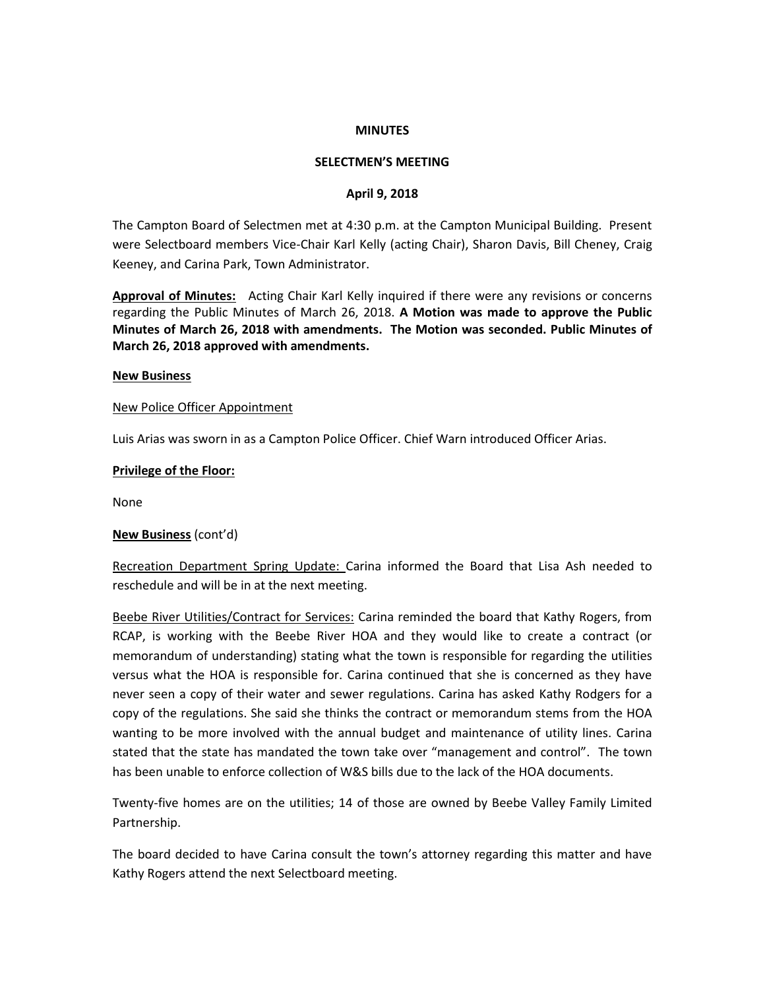### **MINUTES**

### **SELECTMEN'S MEETING**

### **April 9, 2018**

The Campton Board of Selectmen met at 4:30 p.m. at the Campton Municipal Building. Present were Selectboard members Vice-Chair Karl Kelly (acting Chair), Sharon Davis, Bill Cheney, Craig Keeney, and Carina Park, Town Administrator.

**Approval of Minutes:** Acting Chair Karl Kelly inquired if there were any revisions or concerns regarding the Public Minutes of March 26, 2018. **A Motion was made to approve the Public Minutes of March 26, 2018 with amendments. The Motion was seconded. Public Minutes of March 26, 2018 approved with amendments.**

#### **New Business**

### New Police Officer Appointment

Luis Arias was sworn in as a Campton Police Officer. Chief Warn introduced Officer Arias.

### **Privilege of the Floor:**

None

### **New Business** (cont'd)

Recreation Department Spring Update: Carina informed the Board that Lisa Ash needed to reschedule and will be in at the next meeting.

Beebe River Utilities/Contract for Services: Carina reminded the board that Kathy Rogers, from RCAP, is working with the Beebe River HOA and they would like to create a contract (or memorandum of understanding) stating what the town is responsible for regarding the utilities versus what the HOA is responsible for. Carina continued that she is concerned as they have never seen a copy of their water and sewer regulations. Carina has asked Kathy Rodgers for a copy of the regulations. She said she thinks the contract or memorandum stems from the HOA wanting to be more involved with the annual budget and maintenance of utility lines. Carina stated that the state has mandated the town take over "management and control". The town has been unable to enforce collection of W&S bills due to the lack of the HOA documents.

Twenty-five homes are on the utilities; 14 of those are owned by Beebe Valley Family Limited Partnership.

The board decided to have Carina consult the town's attorney regarding this matter and have Kathy Rogers attend the next Selectboard meeting.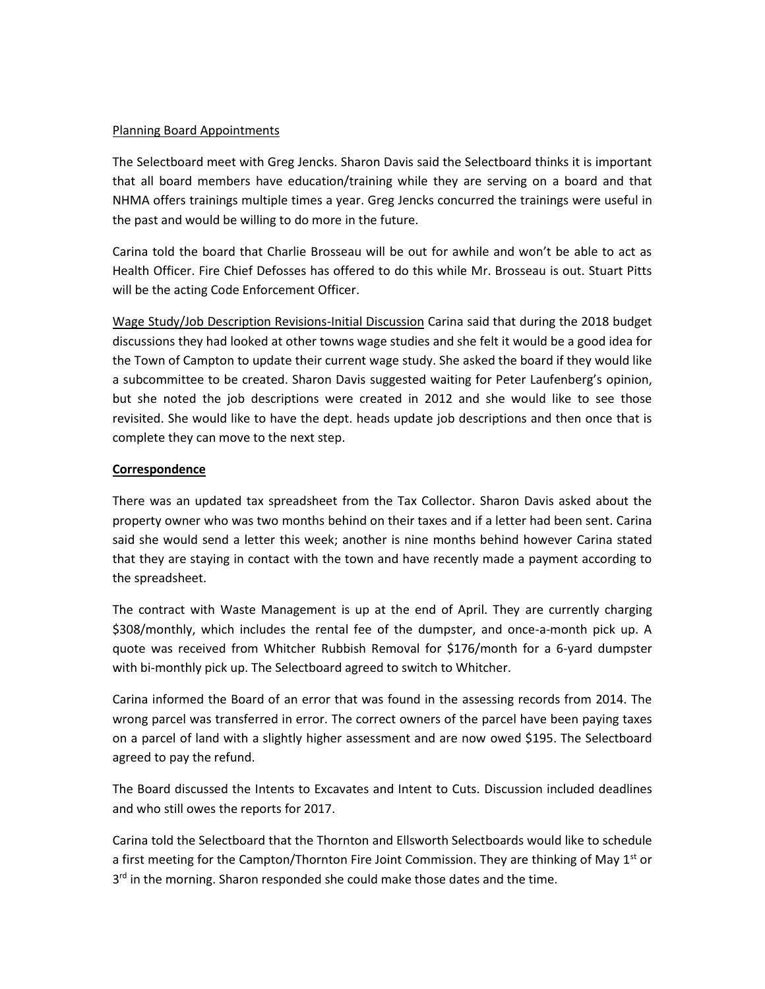# Planning Board Appointments

The Selectboard meet with Greg Jencks. Sharon Davis said the Selectboard thinks it is important that all board members have education/training while they are serving on a board and that NHMA offers trainings multiple times a year. Greg Jencks concurred the trainings were useful in the past and would be willing to do more in the future.

Carina told the board that Charlie Brosseau will be out for awhile and won't be able to act as Health Officer. Fire Chief Defosses has offered to do this while Mr. Brosseau is out. Stuart Pitts will be the acting Code Enforcement Officer.

Wage Study/Job Description Revisions-Initial Discussion Carina said that during the 2018 budget discussions they had looked at other towns wage studies and she felt it would be a good idea for the Town of Campton to update their current wage study. She asked the board if they would like a subcommittee to be created. Sharon Davis suggested waiting for Peter Laufenberg's opinion, but she noted the job descriptions were created in 2012 and she would like to see those revisited. She would like to have the dept. heads update job descriptions and then once that is complete they can move to the next step.

# **Correspondence**

There was an updated tax spreadsheet from the Tax Collector. Sharon Davis asked about the property owner who was two months behind on their taxes and if a letter had been sent. Carina said she would send a letter this week; another is nine months behind however Carina stated that they are staying in contact with the town and have recently made a payment according to the spreadsheet.

The contract with Waste Management is up at the end of April. They are currently charging \$308/monthly, which includes the rental fee of the dumpster, and once-a-month pick up. A quote was received from Whitcher Rubbish Removal for \$176/month for a 6-yard dumpster with bi-monthly pick up. The Selectboard agreed to switch to Whitcher.

Carina informed the Board of an error that was found in the assessing records from 2014. The wrong parcel was transferred in error. The correct owners of the parcel have been paying taxes on a parcel of land with a slightly higher assessment and are now owed \$195. The Selectboard agreed to pay the refund.

The Board discussed the Intents to Excavates and Intent to Cuts. Discussion included deadlines and who still owes the reports for 2017.

Carina told the Selectboard that the Thornton and Ellsworth Selectboards would like to schedule a first meeting for the Campton/Thornton Fire Joint Commission. They are thinking of May 1<sup>st</sup> or 3<sup>rd</sup> in the morning. Sharon responded she could make those dates and the time.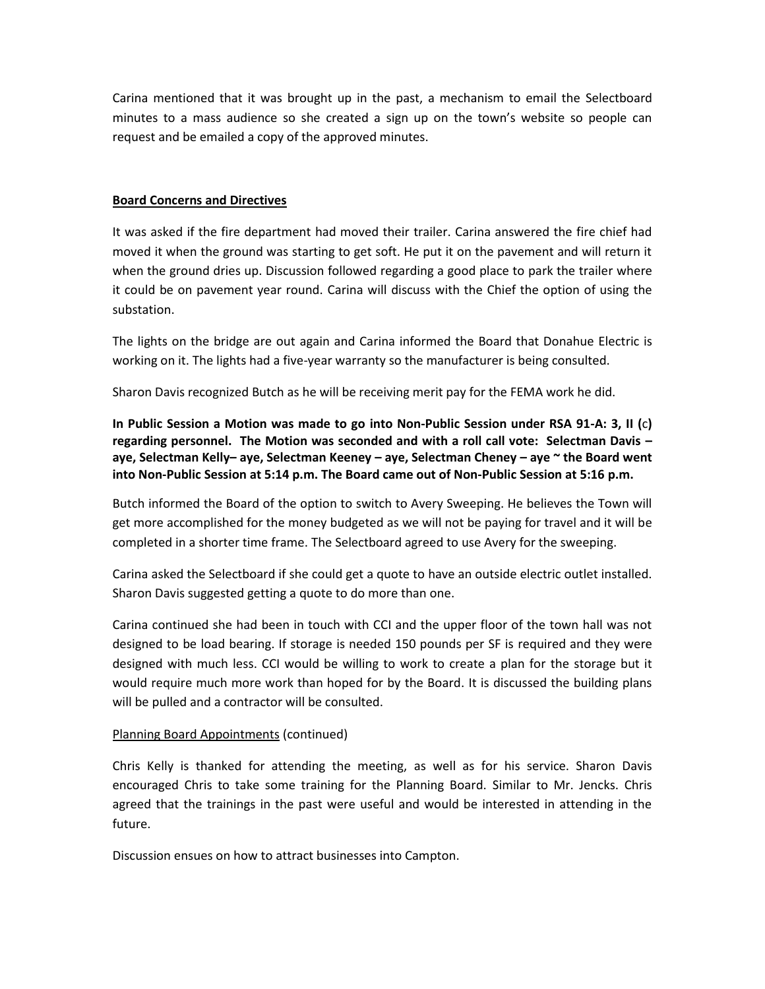Carina mentioned that it was brought up in the past, a mechanism to email the Selectboard minutes to a mass audience so she created a sign up on the town's website so people can request and be emailed a copy of the approved minutes.

# **Board Concerns and Directives**

It was asked if the fire department had moved their trailer. Carina answered the fire chief had moved it when the ground was starting to get soft. He put it on the pavement and will return it when the ground dries up. Discussion followed regarding a good place to park the trailer where it could be on pavement year round. Carina will discuss with the Chief the option of using the substation.

The lights on the bridge are out again and Carina informed the Board that Donahue Electric is working on it. The lights had a five-year warranty so the manufacturer is being consulted.

Sharon Davis recognized Butch as he will be receiving merit pay for the FEMA work he did.

**In Public Session a Motion was made to go into Non-Public Session under RSA 91-A: 3, II (**c**) regarding personnel. The Motion was seconded and with a roll call vote: Selectman Davis – aye, Selectman Kelly– aye, Selectman Keeney – aye, Selectman Cheney – aye ~ the Board went into Non-Public Session at 5:14 p.m. The Board came out of Non-Public Session at 5:16 p.m.**

Butch informed the Board of the option to switch to Avery Sweeping. He believes the Town will get more accomplished for the money budgeted as we will not be paying for travel and it will be completed in a shorter time frame. The Selectboard agreed to use Avery for the sweeping.

Carina asked the Selectboard if she could get a quote to have an outside electric outlet installed. Sharon Davis suggested getting a quote to do more than one.

Carina continued she had been in touch with CCI and the upper floor of the town hall was not designed to be load bearing. If storage is needed 150 pounds per SF is required and they were designed with much less. CCI would be willing to work to create a plan for the storage but it would require much more work than hoped for by the Board. It is discussed the building plans will be pulled and a contractor will be consulted.

# Planning Board Appointments (continued)

Chris Kelly is thanked for attending the meeting, as well as for his service. Sharon Davis encouraged Chris to take some training for the Planning Board. Similar to Mr. Jencks. Chris agreed that the trainings in the past were useful and would be interested in attending in the future.

Discussion ensues on how to attract businesses into Campton.